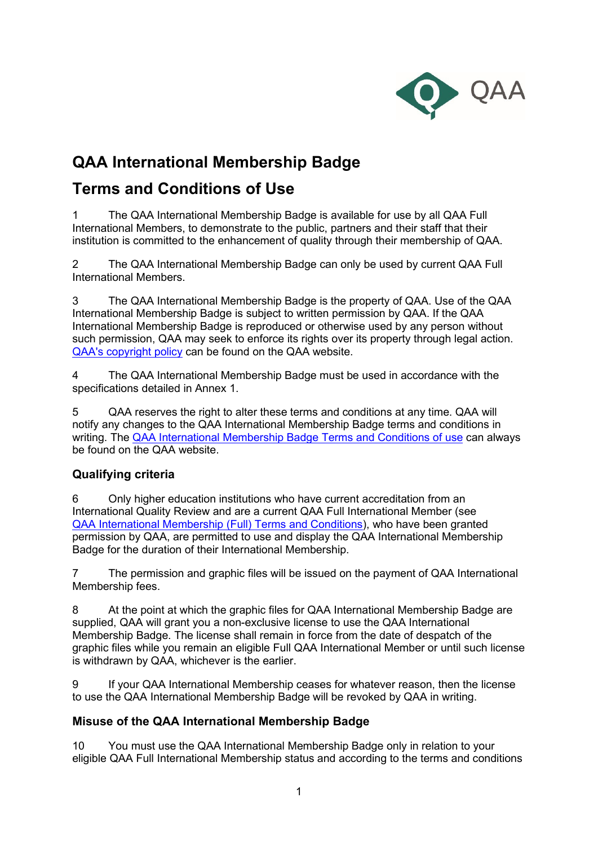

# **QAA International Membership Badge**

# **Terms and Conditions of Use**

1 The QAA International Membership Badge is available for use by all QAA Full International Members, to demonstrate to the public, partners and their staff that their institution is committed to the enhancement of quality through their membership of QAA.

2 The QAA International Membership Badge can only be used by current QAA Full International Members.

3 The QAA International Membership Badge is the property of QAA. Use of the QAA International Membership Badge is subject to written permission by QAA. If the QAA International Membership Badge is reproduced or otherwise used by any person without such permission, QAA may seek to enforce its rights over its property through legal action. [QAA's copyright policy](https://www.qaa.ac.uk/docs/qaa/about-us/copyright-policy-qaa.pdf) can be found on the QAA website.

4 The QAA International Membership Badge must be used in accordance with the specifications detailed in Annex 1.

5 QAA reserves the right to alter these terms and conditions at any time. QAA will notify any changes to the QAA International Membership Badge terms and conditions in writing. The [QAA International Membership Badge Terms and Conditions of use](https://www.qaa.ac.uk/docs/qaa/members/qaa-international-membership-badge-terms-and-conditions-of-use) can always be found on the QAA website.

# **Qualifying criteria**

6 Only higher education institutions who have current accreditation from an International Quality Review and are a current QAA Full International Member (see [QAA International Membership \(Full\) Terms and Conditions\)](https://www.qaa.ac.uk/docs/qaa/members/qaa-international-membership-terms-and-conditions), who have been granted permission by QAA, are permitted to use and display the QAA International Membership Badge for the duration of their International Membership.

7 The permission and graphic files will be issued on the payment of QAA International Membership fees.

8 At the point at which the graphic files for QAA International Membership Badge are supplied, QAA will grant you a non-exclusive license to use the QAA International Membership Badge. The license shall remain in force from the date of despatch of the graphic files while you remain an eligible Full QAA International Member or until such license is withdrawn by QAA, whichever is the earlier.

9 If your QAA International Membership ceases for whatever reason, then the license to use the QAA International Membership Badge will be revoked by QAA in writing.

# **Misuse of the QAA International Membership Badge**

10 You must use the QAA International Membership Badge only in relation to your eligible QAA Full International Membership status and according to the terms and conditions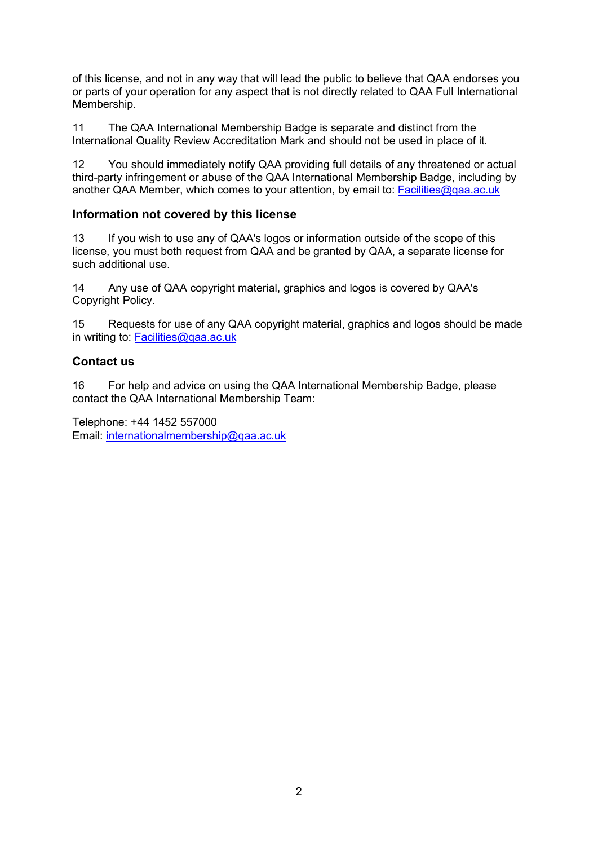of this license, and not in any way that will lead the public to believe that QAA endorses you or parts of your operation for any aspect that is not directly related to QAA Full International Membership.

11 The QAA International Membership Badge is separate and distinct from the International Quality Review Accreditation Mark and should not be used in place of it.

12 You should immediately notify QAA providing full details of any threatened or actual third-party infringement or abuse of the QAA International Membership Badge, including by another QAA Member, which comes to your attention, by email to: **Facilities@gaa.ac.uk** 

# **Information not covered by this license**

13 If you wish to use any of QAA's logos or information outside of the scope of this license, you must both request from QAA and be granted by QAA, a separate license for such additional use.

14 Any use of QAA copyright material, graphics and logos is covered by [QAA's](https://www.qaa.ac.uk/docs/qaa/about-us/copyright-policy-qaa.pdf) [Copyright Policy.](https://www.qaa.ac.uk/docs/qaa/about-us/copyright-policy-qaa.pdf)

15 Requests for use of any QAA copyright material, graphics and logos should be made in writing to: Facilities@gaa.ac.uk

# **Contact us**

16 For help and advice on using the QAA International Membership Badge, please contact the QAA International Membership Team:

Telephone: +44 1452 557000 Email: [internationalmembership@qaa.ac.uk](mailto:internationalmembership@qaa.ac.uk)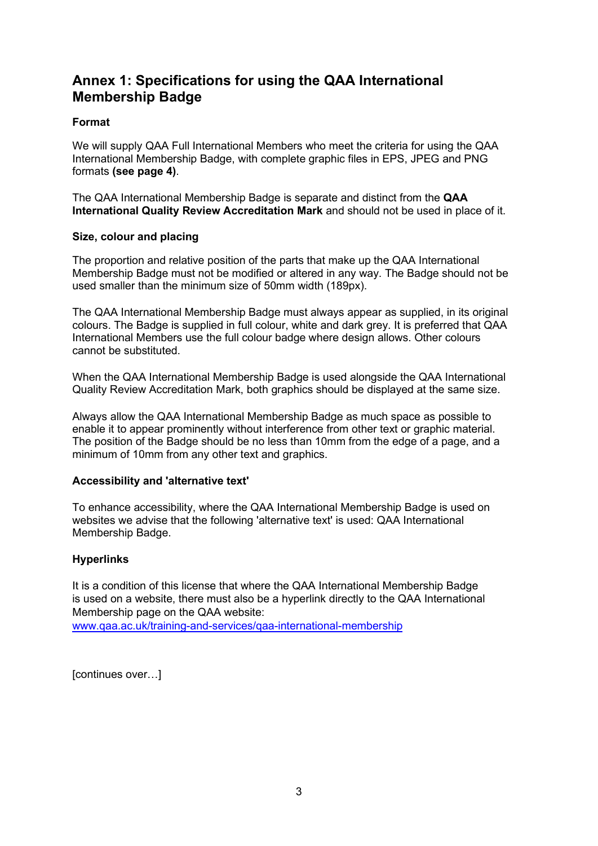# **Annex 1: Specifications for using the QAA International Membership Badge**

### **Format**

We will supply QAA Full International Members who meet the criteria for using the QAA International Membership Badge, with complete graphic files in EPS, JPEG and PNG formats **(see page 4)**.

The QAA International Membership Badge is separate and distinct from the **QAA International Quality Review Accreditation Mark** and should not be used in place of it.

#### **Size, colour and placing**

The proportion and relative position of the parts that make up the QAA International Membership Badge must not be modified or altered in any way. The Badge should not be used smaller than the minimum size of 50mm width (189px).

The QAA International Membership Badge must always appear as supplied, in its original colours. The Badge is supplied in full colour, white and dark grey. It is preferred that QAA International Members use the full colour badge where design allows. Other colours cannot be substituted.

When the QAA International Membership Badge is used alongside the QAA International Quality Review Accreditation Mark, both graphics should be displayed at the same size.

Always allow the QAA International Membership Badge as much space as possible to enable it to appear prominently without interference from other text or graphic material. The position of the Badge should be no less than 10mm from the edge of a page, and a minimum of 10mm from any other text and graphics.

#### **Accessibility and 'alternative text'**

To enhance accessibility, where the QAA International Membership Badge is used on websites we advise that the following 'alternative text' is used: QAA International Membership Badge.

#### **Hyperlinks**

It is a condition of this license that where the QAA International Membership Badge is used on a website, there must also be a hyperlink directly to the QAA International Membership page on the QAA website:

[www.qaa.ac.uk/training-and-services/qaa-international-membership](https://www.qaa.ac.uk/training-and-services/qaa-international-membership)

[continues over…]